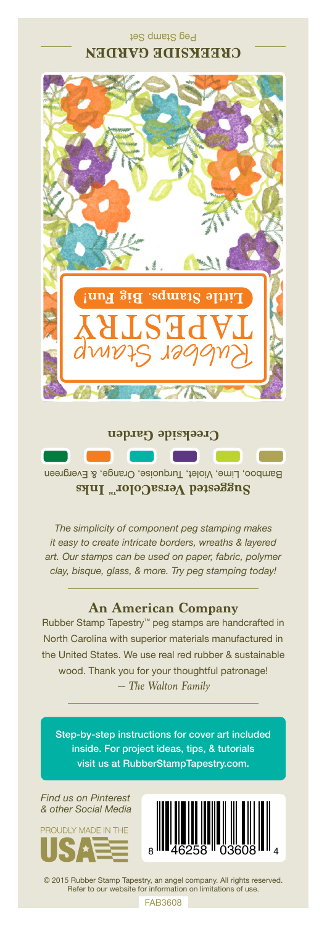

Bamboo, Lime, Violet, Turquoise, Orange, & Evergreen **Suggested VersaColor** Inks **Creekside Garden**

*The simplicity of component peg stamping makes it easy to create intricate borders, wreaths & layered art. Our stamps can be used on paper, fabric, polymer clay, bisque, glass, & more. Try peg stamping today!*

## **An American Company**

*— The Walton Family* Rubber Stamp Tapestry™ peg stamps are handcrafted in North Carolina with superior materials manufactured in the United States. We use real red rubber & sustainable wood. Thank you for your thoughtful patronage!

Step-by-step instructions for cover art included inside. For project ideas, tips, & tutorials visit us at RubberStampTapestry.com.

*Find us on Pinterest & other Social Media*





© 2015 Rubber Stamp Tapestry, an angel company. All rights reserved. Refer to our website for information on limitations of use.